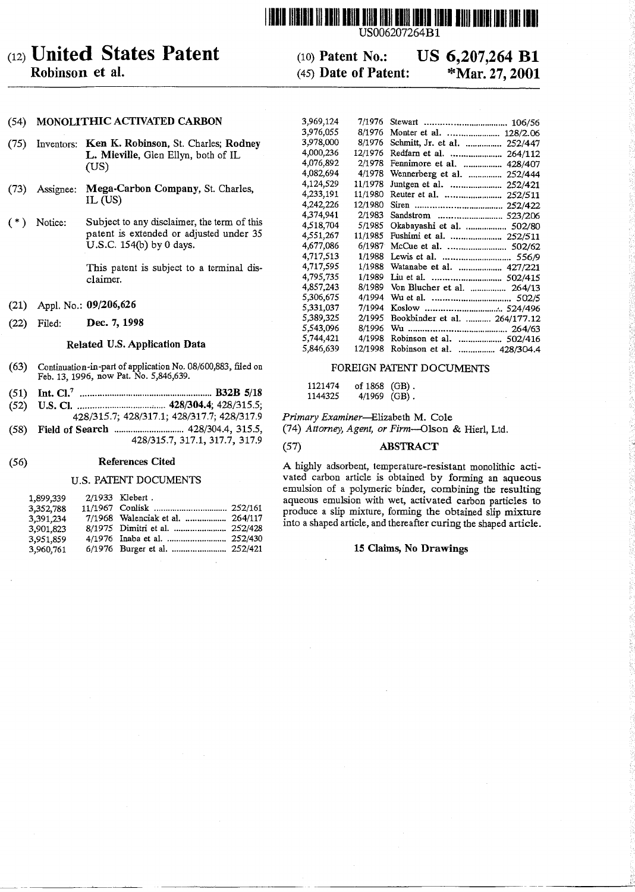# (12) **United States Patent**

# Robinson et al.

#### (10) Patent No.: (45) Date of Patent: US 6,207,264 **Bi** \*Mar. 27, 2001

7/1976 Stewart 106/56

**111111111111111111111111111111111111111111111111111111111111I1I111111111111**

3,969,124

 $(57)$ 

US006207264Bl

### (54) MONOLITHIC ACTIVATED CARBON

- (75) Inventors: Ken K. Robinson, St. Charles; Rodney L. Mieville, Glen Ellyn, both of IL (US)
- Assignee: Mega.Carbon Company, St. Charles,  $(73)$ IL (US)
- Subject to any disclaimer, the term of this  $(*)$  Notice: patent is extended or adjusted under 35 U.S.c. 154(b) by 0 days.

This patent is subject to a terminal disclaimer.

- (21) Appl. No.: 09/206,626
- (22) Filed: Dec. 7, 1998

#### Related U.S. Application Data

- Continuation-in-part of application No. 08/600,883, filed on  $(63)$ Feb. 13, 1996, now Pat. No. 5,846,639.
- Int. CI.7 ••.•••.•••••.••••••••.••.••.••.•••.••••••••••.•••.•••••.B32B 5/18 (51)
- U.S. CI. ...............................•..... 428/304.4; 428/315.5; 428/315.7; 428/317.1; 428/317.7; 428/317.9 (52)
- Field of Search 428/304.4, 315.5, 428/315.7,317.1,317.7,317.9 (58)

#### **References Cited**  $(56)$

### **U.S. PATENT DOCUMENTS**

|  | 2/1933 Klebert.<br>7/1968 Walenciak et al.  264/117<br>6/1976 Burger et al.  252/421 |
|--|--------------------------------------------------------------------------------------|

| 3,976,055 | 8/1976  | Monter et al.<br>128/2.06      |
|-----------|---------|--------------------------------|
| 3,978,000 | 8/1976  | Schmitt, Jr. et al.<br>252/447 |
| 4,000,236 | 12/1976 | 264/112                        |
| 4,076,892 | 2/1978  | Fennimore et al.<br>428/407    |
| 4,082.694 | 4/1978  | Wennerberg et al.<br>252/444   |
| 4,124,529 | 11/1978 | Juntgen et al.<br>252/421      |
| 4,233,191 | 11/1980 | 252/511                        |
| 4,242,226 | 12/1980 | 252/422                        |
| 4,374,941 | 2/1983  | Sandstrom  523/206             |
| 4,518,704 | 5/1985  | Okabayashi et al.  502/80      |
| 4,551,267 | 11/1985 | Fushimi et al.  252/511        |
| 4,677,086 | 6/1987  | McCue et al.  502/62           |
| 4,717,513 | 1/1988  |                                |
| 4,717,595 | 1/1988  | Watanabe et al.  427/221       |
| 4,795,735 | 1/1989  |                                |
| 4,857,243 | 8/1989  | Von Blucher et al.  264/13     |
| 5.306,675 | 4/1994  |                                |
| 5,331,037 | 7/1994  |                                |
| 5,389,325 | 2/1995  | Bookbinder et al.  264/177.12  |
| 5,543,096 | 8/1996  |                                |
| 5.744,421 | 4/1998  | Robinson et al.  502/416       |
| 5,846,639 | 12/1998 | Robinson et al.  428/304.4     |

### FOREIGN PATENT DOCUMENTS

1121474 of 1868 (GB).<br>1144325 4/1969 (GB).  $4/1969$  (GB).

*Primary Examiner-Elizabeth* M. Cole

*(74) Attorney, Agent, or Firm-Olson* & Hierl, Ltd.

### **ABSTRACT**

A highly adsorbent, temperature-resistant monolithic activated carbon article is obtained by forming an aqueous emulsion of a polymeric binder, combining the resulting aqueous emulsion with wet, activated carbon particles to produce a slip mixture, forming the obtained slip mixture into a shaped article, and thereafter curing the shaped article.

### 15 Claims, No Drawings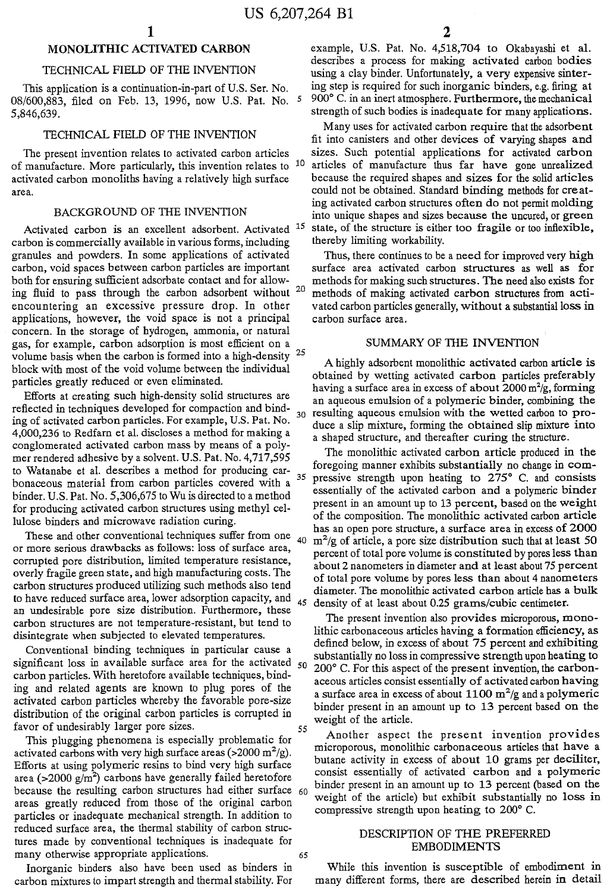## **MONOLITHIC** ACTIVATED CARBON

### TECHNICAL FIELD OF THE INVENTION

This application is a continuation-in-part of U.S. Ser. No. 08/600,883, filed on Feb. 13, 1996, now U.S. Pat. No. 5 5,846,639.

### TECHNICAL FIELD OF THE INVENTION

The present invention relates to activated carbon articles of manufacture. More particularly, this invention relates to <sup>10</sup> activated carbon monoliths having a relatively high surface area.

### BACKGROUND OF THE INVENTION

Activated carbon is an excellent adsorbent. Activated carbon is commercially available in various forms, including granules and powders. In some applications of activated carbon, void spaces between carbon particles are important both for ensuring sufficient adsorbate contact and for allowing fluid to pass through the carbon adsorbent without 20 encountering an excessive pressure drop. In other applications, however, the void space is not a principal concern. In the storage of hydrogen, ammonia, or natural gas, for example, carbon adsorption is most efficient on a volume basis when the carbon is formed into a high-density  $25$ block with most of the void volume between the individual particles greatly reduced or even eliminated.

Efforts at creating such high-density solid structures are reflected in techniques developed for compaction and binding of activated carbon particles. For example, U.S. Pat. No. 4,000,236 to Redfarn et al. discloses a method for making a conglomerated activated carbon mass by means of a polymer rendered adhesive by a solvent. U.S. Pat. No. 4,717,595 to Watanabe et al. describes a method for producing carbonaceous material from carbon particles covered with a 35 binder. U.S. Pat. No. 5,306,675 to Wu is directed to a method for producing activated carbon structures using methyl cellulose binders and microwave radiation curing.

These and other conventional techniques suffer from one or more serious drawbacks as follows: loss of surface area, corrupted pore distribution, limited temperature resistance, overly fragile green state, and high manufacturing costs. The carbon structures produced utilizing such methods also tend to have reduced surface area, lower adsorption capacity, and  $_{45}$ an undesirable pore size distribution. Furthermore, these carbon structures are not temperature-resistant, but tend to disintegrate when subjected to elevated temperatures.

Conventional binding techniques in particular cause a significant loss in available surface area for the activated  $50$ carbon particles. With heretofore available techniques, binding and related agents are known to plug pores of the activated carbon particles whereby the favorable pore-size distribution of the original carbon particles is corrupted in favor of undesirably larger pore sizes.

This plugging phenomena is especially problematic for activated carbons with very high surface areas (>2000 m<sup>2</sup>/g) Efforts at using polymeric resins to bind very high surface area (>2000 g/m<sup>2</sup>) carbons have generally failed heretofor because the resulting carbon structures had either surface 60 areas greatly reduced from those of the original carbon particles or inadequate mechanical strength. In addition to reduced surface area, the thermal stability of carbon structures made by conventional techniques is inadequate for many otherwise appropriate applications.

Inorganic binders also have been used as binders in carbon mixtures to impart strength and thermal stability. For example, U.S. Pat. No. 4,518,704 to Okabayashi et al. descnbes a process for making activated carbon bodies using a clay binder. Unfortunately, a very expensive sintering step is required for such inorganic binders, e.g. firing at 900° C. in an inert atmosphere. Furthermore, the mechanical strength of such bodies is inadequate for many applications.

Many uses for activated carbon require that the adsorbent fit into canisters and other devices of varying shapes and sizes. Such potential applications for activated carbon articles of manufacture thus far have gone unrealized because the required shapes and sizes for the solid articles could not be obtained. Standard binding methods for creat ing activated carbon structures often do not permit molding into unique shapes and sizes because the uncured, or green 15 state, of the structure is either too fragile or too inflexible thereby limiting workability. '

Thus, there continues to be a need for improved very high surface area activated carbon structures as well as for methods for making such structures. The need also exists for methods of making activated carbon structures from activated carbon particles generally, without a substantial loss in carbon surface area.

### SUMMARY OF THE INVENTION

A highly adsorbent monolithic activated carbon article is obtained by wetting activated carbon particles preferably having a surface area in excess of about  $2000 \text{ m}^2/\text{g}$ , formin an aqueous emulsion of a polymeric binder, combining the resulting aqueous emulsion with the wetted carbon to produce a slip mixture, forming the obtained slip mixture into a shaped structure, and thereafter curing the structure.

The monolithic activated carbon article produced in the foregoing manner exhibits substantially no change in compressive strength upon heating to  $275^{\circ}$  C. and consists essentially of the activated carbon and a polymeric binder present in an amount up to 13 percent, based on the weight of the composition. The monolithic activated carbon article has an open pore structure, a surface area in excess of 2000  $m^2/g$  of article, a pore size distribution such that at least 50 percent of total pore volume is constituted by pores less than about 2 nanometers in diameter and at least about 75 percent of total pore volume by pores less than about 4 nanometers diameter. The monolithic activated carbon article has a bulk density of at least about 0.25 grams/cubic centimeter.

The present invention also provides microporous, monolithic carbonaceous articles having a formation efficiency, as defined below, in excess of about 75 percent and exhibiting substantially no loss in compressive strength upon heating to  $200^{\circ}$  C. For this aspect of the present invention, the carbonaceous articles consist essentially of activated carbon having a surface area in excess of about  $1100 \text{ m}^2/\text{g}$  and a polymer binder present in an amount up to 13 percent based on the weight of the article.

Another aspect the present invention provides microporous, monolithic carbonaceous articles that have a butane activity in excess of about 10 grams per deciliter, consist essentially of activated carbon and a polymeric binder present in an amount up to 13 percent (based on the weight of the article) but exhibit substantially no loss in compressive strength upon heating to  $200^{\circ}$  C.

### DESCRIPTION OF THE PREFERRED EMBODIMENTS

While this invention is susceptible of embodiment in many different forms, there are described herein in detail

40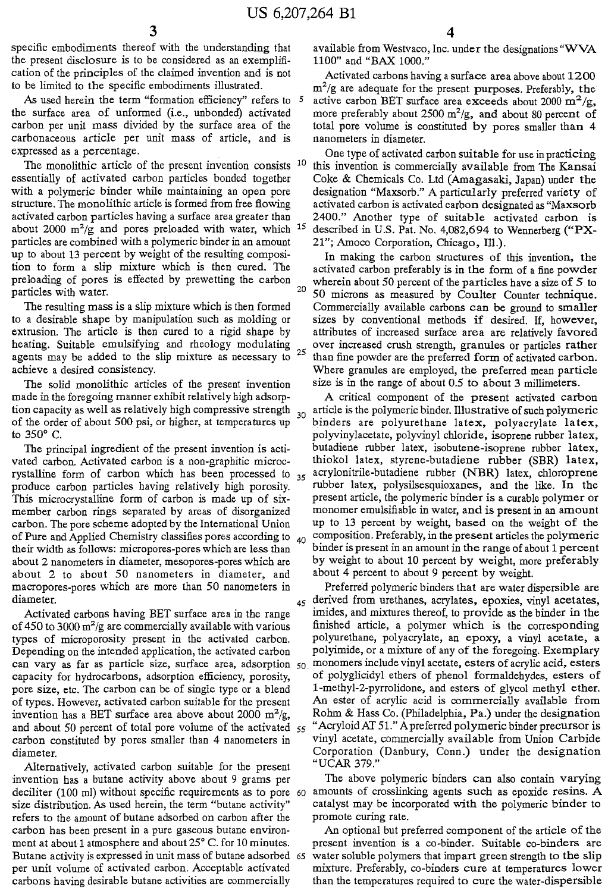specific embodiments thereof with the understanding that available from Westvaco, Inc. under the designations "WVA the present disclosure is to be considered as an exemplifi- 1100" and "BAX 1000." the present disclosure is to be considered as an exemplification of the principles of the claimed invention and is not Activated carbons having a surface area above about 1200 to be limited to the specific embodiments illustrated. *m<sup>2</sup>*

As used herein the term "formation efficiency" refers to  $5$ the surface area of unformed (i.e., unbonded) activated carbonaceous article per unit mass of article, and is nanometers in diameter.

about 2000  $m^2/g$  and pores preloaded with water, which <sup>15</sup> particles are combined with a polymeric binder in an amount 21"; Amoco Corporation, Chicago, Ill.).<br>up to about 13 percent by weight of the resulting composi-<br>In making the carbon structures of

made in the foregoing manner exhibit relatively high adsorp- A critical component of the present activated carbon

about 2 to about 50 nanometers in diameter, and about 4 percent to about 9 percent by weight. macropores-pores which are more than 50 nanometers in Preferred polymeric binders that are water dispersible are

of 450 to 3000  $m^2/g$  are commercially available with various invention has a BET surface area above about 2000  $m^2/g$ , and about 50 percent of total pore volume of the activated  $55$ 

Alternatively, activated carbon suitable for the present "UCAR 379." refers to the amount of butane adsorbed on carbon after the promote curing rate. carbon has been present in a pure gaseous butane environ- An optional but preferred component of the article of the

 $m^2/g$  are adequate for the present purposes. Preferably, the active carbon BET surface area exceeds about 2000  $\mathrm{m}^2/\mathrm{g}$ , more preferably about 2500 m<sup>2</sup>/g, and about 80 percent of carbon per unit mass divided by the surface area of the total pore volume is constituted by pores smaller than 4

expressed as a percentage.<br>The monolithic article of the present invention consists <sup>10</sup> this invention is commercially available from The Kansai The monolithic article of the present invention consists  $10$  this invention is commercially available from The Kansai essentially of activated carbon particles bonded together Coke & Chemicals Co. Ltd (Amagasaki, Japan) essentially of activated carbon particles bonded together Coke & Chemicals Co. Ltd (Amagasaki, Japan) under the with a polymeric binder while maintaining an open pore designation "Maxsorb." A particularly preferred variety with a polymeric binder while maintaining an open pore designation "Maxsorb." A particularly preferred variety of structure. The monolithic article is formed from free flowing activated carbon is activated carbon designate activated carbon is activated carbon designated as "Maxsorb activated carbon particles having a surface area greater than 2400." Another type of suitable activated carbon is described in U.S. Pat. No. 4,082,694 to Wennerberg ("PX-

up to about 13 percent by weight of the resulting composi-<br>tion to form a slip mixture which is then cured. The activated carbon preferably is in the form of a fine nowder tion to form a slip mixture which is then cured. The activated carbon preferably is in the form of a fine powder<br>preloading of pores is effected by prewetting the carbon wherein about 50 percent of the particles have a siz preloading of pores is effected by prewetting the carbon wherein about 50 percent of the particles have a size of 5 to particles with water. 50 microns as measured by Coulter Counter technique. The resulting mass is a slip mixture which is then formed Commercially available carbons can be ground to smaller to a desirable shape by manipulation such as molding or sizes by conventional methods if desired. If, however, extrusion. The article is then cured to a rigid shape by attributes of increased surface area are relatively fa attributes of increased surface area are relatively favored heating. Suitable emulsifying and rheology modulating over increased crush strength, granules or particles rather agents may be added to the slip mixture as necessary to  $\sim$  than fine powder are the preferred form of activated carbon. achieve a desired consistency. Where granules are employed, the preferred mean particle The solid monolithic articles of the present invention size is in the range of about 0.5 to about 3 millimeters.

tion capacity as well as relatively high compressive strength  $_{20}$  article is the polymeric binder. Illustrative of such polymeric of the order of about 500 psi, or higher, at temperatures up  $\sim$  binders are polyurethane latex, polyacrylate latex, to 350° C. **polyvinylacetate, polyvinylacetate, polyvinyl** chloride, isoprene rubber latex, The principal ingredient of the present invention is acti- butadiene rubber latex, isobutene-isoprene rubber latex, vated carbon. Activated carbon is a non-graphitic microc- thiokol latex, styrene-butadiene rubber (SBR) latex, rystalline form of carbon which has been processed to  $35$  acrylonitrile-butadiene rubber (NBR) latex, chloroprene produce carbon particles having relatively high porosity. rubber latex, polysilsesquioxanes, and the like. In the This microcrystalline form of carbon is made up of six-<br>present article, the polymeric binder is a curable polymer or member carbon rings separated by areas of disorganized monomer emulsifiable in water, and is present in an amount carbon. The pore scheme adopted by the International Union up to 13 percent by weight, based on the weight of the of Pure and Applied Chemistry classifies pores according to  $_{40}$  composition. Preferably, in the present articles the polymeric their width as follows: micropores-pores which are less than <sup>binder</sup> is present in an amount in the range of about 1 percent about 2 nanometers in diameter, mesopores-pores which are by weight to about 10 percent by weight, more preferably

diameter. 45 derived from urethanes, acrylates, epoxies, vinyl acetates, Activated carbons having BET surface area in the range imides, and mixtures thereof, to provide as the binder in the finished article, a polymer which is the corresponding types of microporosity present in the activated carbon. polyurethane, polyacrylate, an epoxy, a vinyl acetate, a Depending on the intended application, the activated carbon polyimide, or a mixture of any of the foregoing. Exemplary can vary as far as particle size, surface area, adsorption  $50$  monomers include vinyl acetate, esters of acrylic acid, esters capacity for hydrocarbons, adsorption efficiency, porosity, of polyglicidyl ethers of phenol formaldehydes, esters of pore size, etc. The carbon can be of single type or a blend 1-methyl-2-pyrrolidone, and esters of glycol methyl ether. of types. However, activated carbon suitable for the present An ester of acrylic acid is commercially available from Rohm & Hass Co. (Philadelphia, Pa.) under the designation<br>"Acryloid AT 51." A preferred polymeric binder precursor is carbon constituted by pores smaller than 4 nanometers in vinyl acetate, commercially available from Union Carbide diameter. Corporation (Danbury, Conn.) under the designation

invention has a butane activity above about 9 grams per The above polymeric binders can also contain varying deciliter (100 ml) without specific requirements as to pore 60 amounts of crosslinking agents such as epoxide resins. A size distribution. As used herein, the term "butane activity" catalyst may be incorporated with the polymeric binder to

ment at about 1 atmosphere and about 25° C. for 10 minutes. present invention is a co-binder. Suitable co-binders are Butane activity is expressed in unit mass of butane adsorbed 65 water soluble polymers that impart green strength to the slip per unit volume of activated carbon. Acceptable activated mixture. Preferably, co-binders cure at temperatures lower carbons having desirable butane activities are commercially than the temperatures required to cure the water-dispersible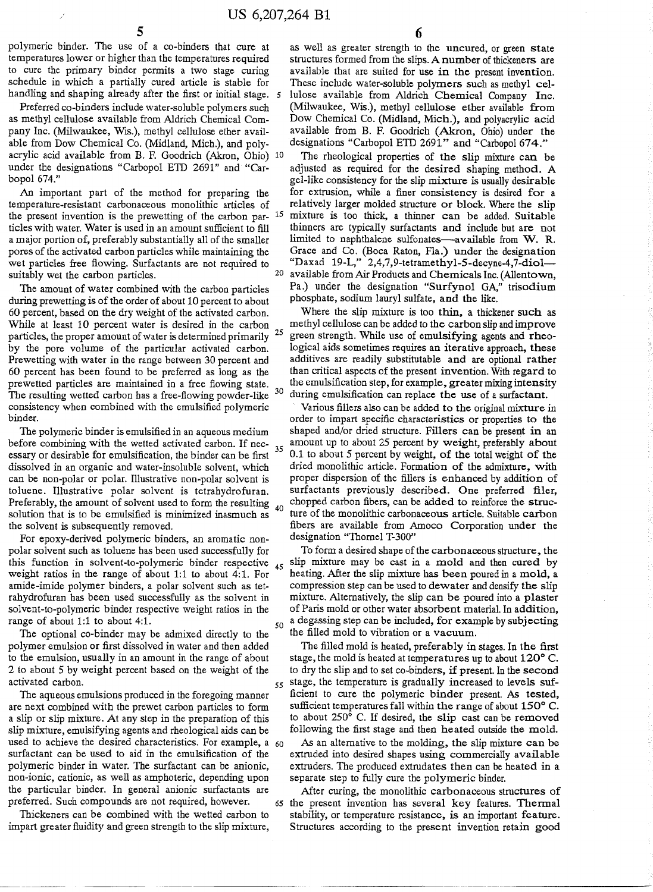polymeric binder. The use of a co-binders that cure at temperatures lower or higher than the temperatures required to cure the primary binder permits a two stage curing schedule in which a partially cured article is stable for handling and shaping already after the first or initial stage. 5

Preferred co-binders include water-soluble polymers such as methyl cellulose available from Aldrich Chemical Company Inc. (Milwaukee, Wis.), methyl cellulose ether available from Dow Chemical Co. (Midland, Mich.), and polyacrylic acid available from B. F. Goodrich (Akron, Ohio) 10 under the designations "Carbopol ETD 2691" and "CarbopoI674."

An important part of the method for preparing the temperature-resistant carbonaceous monolithic articles of the present invention is the prewetting of the carbon par- <sup>15</sup> ticles with water. Water is used in an amount sufficient to fill a major portion of, preferably substantially all of the smaller pores of the activated carbon particles while maintaining the wet particles free flowing. Surfactants are not required to suitably wet the carbon particles.

The amount of water combined with the carbon particles during prewetting is of the order of about 10 percent to about 60 percent, based on the dry weight of the activated carbon. While at least 10 percent water is desired in tbe carbon particles, the proper amount of water is determined primarily <sup>25</sup> by the pore volume of the particular activated carbon. Prewetting with water in the range between 30 percent and 60 percent has been found to be preferred as long as the prewetted particles are maintained in a free flowing state. The resulting wetted carbon has a free-flowing powder-like <sup>30</sup> consistency when combined with the emulsified polymeric binder.

The polymeric binder is emulsified in an aqueous medium before combining with the wetted activated carbon. If necessary or desirable for emulsification, tbe binder can be first dissolved in an organic and water-insoluble solvent, which can be non-polar or polar. Illustrative non-polar solvent is toluene. Illustrative polar solvent is tetrahydrofuran. Preferably, the amount of solvent used to form the resulting  $_{40}$ solution that is to be emulsified is minimized inasmuch as the solvent is subsequently removed.

For epoxy-derived polymeric binders, an aromatic nonpolar solvent such as toluene bas been used successfully for this function in solvent-to-polymeric binder respective  $_{45}$ weight ratios in the range of about 1:1 to about 4:1. For amide-imide polymer binders, a polar solvent such as tetrahydrofuran has been used successfully as the solvent in solvent-to-polymeric binder respective weight ratios in the range of about 1:1 to about 4:1.

The optional co-binder may be admixed directly to the polymer emulsion or first dissolved in water and then added to the emulsion, usually in an amount in the range of about 2 to about 5 by weight percent based on the weight of the activated carbon.

The aqueous emulsions produced in the foregoing manner are next combined with the prewet carbon particles to form a slip or slip mixture. At any step in the preparation of this slip mixture, emulsifying agents and rheological aids can be used to achieve the desired characteristics. For example, a  $60$ surfactant can be used to aid in the emulsification of the polymeric binder in water. The surfactant can be anionic, non-ionic, cationic, as well as amphoteric, depending upon the particular binder. In general anionic surfactants are preferred. Such compounds are not required, however.

Thickeners can be combined with the wetted carbon to impart greater fluidity and green strength to the slip mixture, as well as greater strength to the uncured, or green state structures formed from the slips. A number of thickeners are available that are suited for use in the present invention. These include water-soluble polymers such as methyl cellulose available from Aldrich Chemical Company Inc. (Milwaukee, Wis.), methyl cellulose ether available from Dow Chemical Co. (Midland, Mich.), and polyacrylic acid available from B. F. Goodrich (Akron, Ohio) under the designations "Carbopol ETD 2691" and "Carbopol 674."

The rheological properties of the slip mixture can be adjusted as required for the desired shaping method. A gel-like consistency for the slip mixture is usually desirable for extrusion, while a finer consistency is desired for a relatively larger molded structure or block. Where the slip mixture is too thick, a thinner can be added. Suitable thinners are typically surfactants and include but are not limited to naphthalene sulfonates-available from W. R. Grace and Co. (Boca Raton, Fla.) under the designation "Daxad 19-L," 2,4,7,9-tetramethyl-5-decyne-4,7-diol-20 available from Air Products and Chemicals Inc. (Allentown, Pa.) under the designation "Surfynol GA," trisodium phosphate, sodium lauryl sulfate, and the like.

Where the slip mixture is too thin, a thickener such as methyl cellulose can be added to the carbon slip and improve green strength. While use of emulsifying agents and rheological aids sometimes requires an iterative approach, these additives are readily substitutable and are optional rather than critical aspects of the present invention. With regard to the emulsification step, for example, greater mixing intensity during emulsification can replace the use of a surfactant.

Various fillers also can be added to the original mixture in order to impart specific characteristics or properties to the shaped and/or dried structure. Fillers can be present in an amount up to about 25 percent by weight, preferably about 0.1 to about 5 percent by weight, of the total weight of the dried monolithic article. Formation of the admixture, with proper dispersion of the fillers is enhanced by addition of surfactants previously described. One preferred filer, chopped carbon fibers, can be added to reinforce the structure of the monolithic carbonaceous article. Suitable carbon fibers are available from Amoco Corporation under the designation "Thomel T-300"

To form a desired shape of the carbonaceous structure, the slip mixture may be cast in a mold and then cured by heating. After the slip mixture has been poured in a mold, a compression step can be used to dewater and densify the slip mixture. Alternatively, the slip can be poured into a plaster of Paris mold or other water absorbent material. In addition,  $_{50}$  a degassing step can be included, for example by subjecting the filled mold to vibration or a vacuum.

The filled mold is heated, preferably in stages. In the first stage, the mold is heated at temperatures up to about  $120^{\circ}$  C. to dry the slip and to set co-binders, if present. In the second 55 stage, the temperature is gradually increased to levels sufficient to cure tbe polymeric binder present. As tested, sufficient temperatures fall within the range of about  $150^{\circ}$  C. to about 250° C. If desired, the slip cast can be removed following the first stage and then heated outside the mold.

As an alternative to the molding, the slip mixture can be extruded into desired shapes using commercially available extruders. The produced extrudates then can be heated in a separate step to fully cure the polymeric binder.

After curing, the monolithic carbonaceous structures of <sup>65</sup> the present invention has several key features. Thermal stability, or temperature resistance, is an important feature. Structures according to the present invention retain good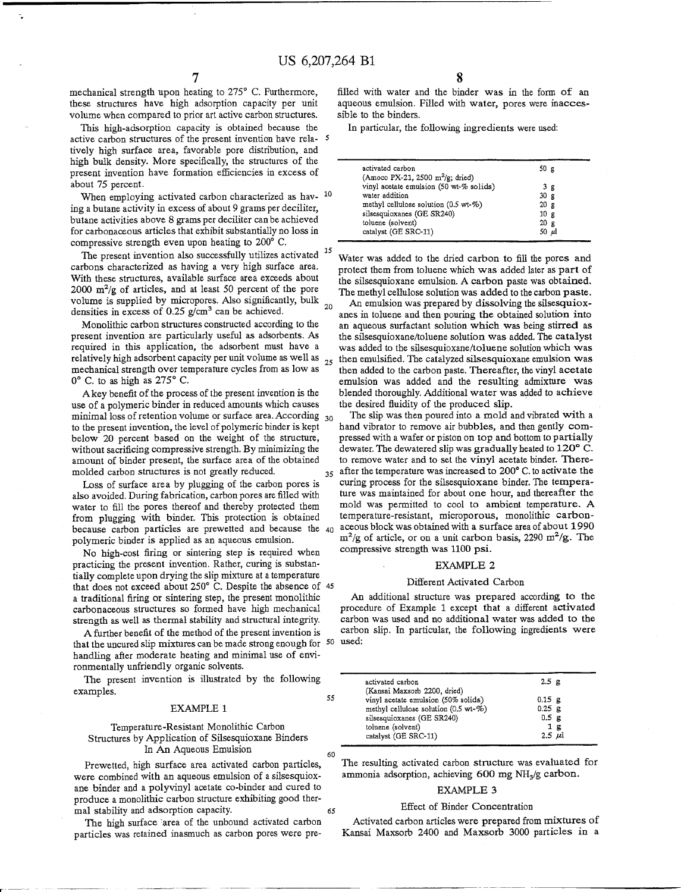mechanical strength upon heating to *275<sup>0</sup>* C. Furthermore, these structures have high adsorption capacity per unit volume when compared to prior art active carbon structures.

This high-adsorption capacity is obtained because the active carbon structures of the present invention have rela- 5 tively high surface area, favorable pore distribution, and high bulk density. More specifically, the structures of the present invention have formation efficiencies in excess of about 75 percent.

When employing activated carbon characterized as hav-  $10$ ing a butane activity in excess of about 9 grams per deciliter, butane activities above 8 grams per deciliter can be achieved for carbonaceous articles that exhibit substantially no loss in compressive strength even upon heating to  $200^{\circ}$  C.

The present invention also successfully utilizes activated <sup>15</sup> carbons characterized as having a very high surface area. With these structures, available surface area exceeds about 2000  $\text{m}^2/\text{g}$  of articles, and at least 50 percent of the pore volume is supplied by micropores. Also significantly, bulk  $_{20}$ densities in excess of 0.25 g/cm<sup>3</sup> can be achieved. <sup>20</sup>

Monolithic carbon structures constructed according to the present invention are particularly useful as adsorbents. As required in this application, the adsorbent must have a relatively high adsorbent capacity per unit volume as well as 25 mechanical strength over temperature cycles from as low as 0 <sup>0</sup> C. to as high as *275<sup>0</sup>* C.

Akey benefit of the process of the present invention is the use of a polymeric binder in reduced amounts which causes minimal loss of retention volume or surface area. According  $_{30}$ to the present invention, the level of polymeric binder is kept below 20 percent based on the weight of the structure, without sacrificing compressive strength. By minimizing the amount of binder present, the surface area of the obtained molded carbon structures is not greatly reduced.

Loss of surface area by plugging of the carbon pores is also avoided. During fabrication, carbon pores are filled with water to fill the pores thereof and thereby protected them from plugging with binder. This protection is obtained polymeric binder is applied as an aqueous emulsion.

No high-cost firing or sintering step is required when practicing the present invention. Rather, curing is substantially complete upon drying the slip mixture at a temperature that does not exceed about 250° C. Despite the absence of 45 a traditional firing or sintering step, the present monolithic carbonaceous structures so formed have high mechanical strength as well as thermal stability and structural integrity.

A further benefit of the method of the present invention is that the uncured slip mixtures can be made strong enough for  $50$  used handling after moderate heating and minimal use of environmentally unfriendly organic solvents.

The present invention is illustrated by the following examples.

### **EXAMPLE 1**

Temperature-Resistant Monolithic Carbon Structures by Application of Silsesquioxane Binders In An Aqueous Emulsion

Prewetted, high surface area activated carbon particles, were combined with an aqueous emulsion of a silsesquioxane binder and a polyvinyl acetate co-binder and cured to produce a monolithic carbon structure exhibiting good thermal stability and adsorption capacity.

The high surface' area of the unbound activated carbon particles was retained inasmuch as carbon pores were pre8

filled with water and the binder was in the form of an aqueous emulsion. Filled with water, pores were inaccessible to the binders.

In particular, the following ingredients were used:

| activated carbon<br>(Amoco PX-21, 2500 m <sup>2</sup> /g; dried) | 50 g            |  |
|------------------------------------------------------------------|-----------------|--|
| vinyl acetate emulsion (50 wt-% solids)                          | 3g              |  |
| water addition                                                   | 30 <sub>g</sub> |  |
| methyl cellulose solution (0.5 wt-%)                             | 20 g            |  |
| silsesquioxanes (GE SR240)                                       | 10g             |  |
| toluene (solvent)                                                | 20 g            |  |
| catalyst (GE SRC-11)                                             | $50 \mu$        |  |

Water was added to the dried carbon to fill the pores and protect them from toluene which was added later as part of the silsesquioxane emulsion. A carbon paste was obtained. The methyl cellulose solution was added to the carbon paste.

An emulsion was prepared by dissolving the silsesquioxanes in toluene and then pouring the obtained solution into an aqueous surfactant solution which was being stirred as the silsesquioxane/toluene solution was added. The catalyst was added to the silsesquioxane/toluene solution which was  $_{25}$  then emulsified. The catalyzed silsesquioxane emulsion was then added to the carbon paste. Thereafter, the vinyl acetate emulsion was added and the resulting admixture was blended thoroughly. Additional water was added to achieve the desired fluidity of the produced slip.

because carbon particles are prewetted and because the  $40$  aceous block was obtained with a surface area of about 199 The slip was then poured into a mold and vibrated with a hand vibrator to remove air bubbles, and then gently compressed with a wafer or piston on top and bottom to partially dewater. The dewatered slip was gradually heated to 120° C. to remove water and to set the vinyl acetate binder. There- $35$  after the temperature was increased to 200 $^{\circ}$  C. to activate the curing process for the silsesquioxane binder. The temperature was maintained for about one hour, and thereafter the mold was permitted to cool to ambient temperature. A temperature-resistant, microporous, monolithic carbon- $\text{m}^2/\text{g}$  of article, or on a unit carbon basis, 2290 m<sup>2</sup>/g. Th compressive strength was 1100 psi.

### **EXAMPLE 2**

### Different Activated Carbon

An additional structure was prepared according to the procedure of Example 1 except that a different activated carbon was used and no additional water was added to the carbon slip. In particular, the following ingredients were

| activated carbon                                                                        | 2.5 <sub>g</sub>     |
|-----------------------------------------------------------------------------------------|----------------------|
| (Kansai Maxsorb 2200, dried)                                                            |                      |
| vinyl acetate emulsion (50% solids)<br>methyl cellulose solution $(0.5 \text{ wt-} \%)$ | $0.15$ g<br>$0.25$ g |
| silsesquioxanes (GE SR240)                                                              | 0.5 <sub>g</sub>     |
| toluene (solvent)                                                                       | 1g                   |
| catalyst (GE SRC-11)                                                                    | $2.5 \mu$            |
|                                                                                         |                      |

The resulting activated carbon structure was evaluated for ammonia adsorption, achieving 600 mg NH<sub>3</sub>/g carbo

### EXAMPLE 3

#### Effect of Binder Concentration

Activated carbon articles were prepared from mixtures of Kansai Maxsorb 2400 and Maxsorb 3000 particles in a

55

60

65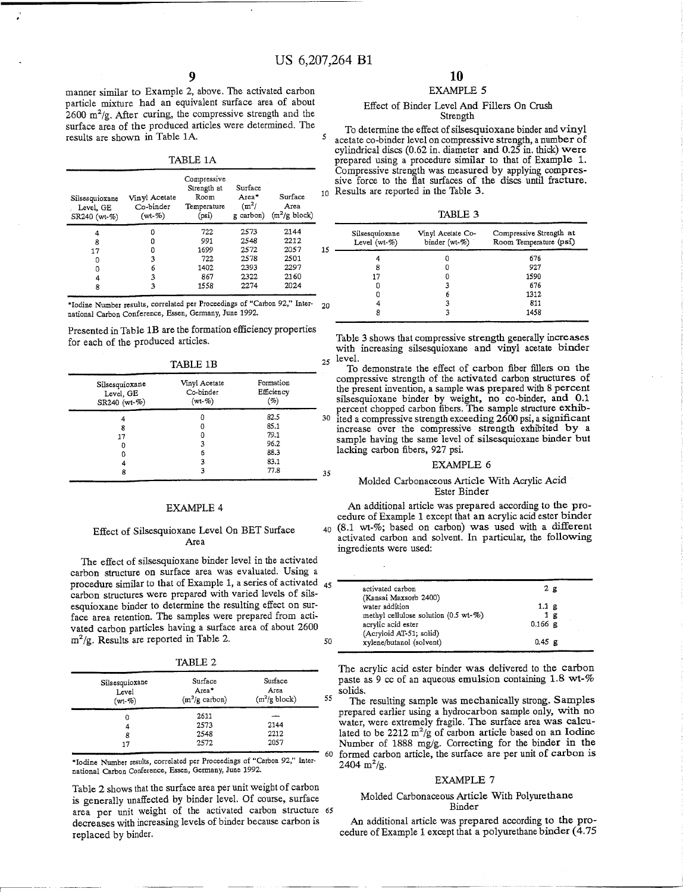manner similar to Example 2, above. The activated carbon particle mixture had an equivalent surface area of about *2600 m<sup>2</sup> jg.* After curing, the compressive strength and the surface area of the produced articles were determined. The results are shown in Table 1A.

| ı |  |
|---|--|
|---|--|

| 10                      |
|-------------------------|
|                         |
|                         |
| 15                      |
|                         |
|                         |
|                         |
|                         |
| $(m^2/g \text{ block})$ |

\*Iodine Number results, correlated per Proceedings of "Carbon 92," International Carbon Conference, Essen, Germany, June 1992.

Presented in Table 1B are the formation efficiency properties for each of the produced articles.

TABLE 1B

| Silsesquioxane<br>Level, GE<br>SR240 (wt-%) | Vinyl Acetate<br>Co-binder<br>$(wt - %)$ | Formation<br>Efficiency<br>(%) |    |
|---------------------------------------------|------------------------------------------|--------------------------------|----|
|                                             | O                                        | 82.5                           | 31 |
| 8                                           | 0                                        | 85.1                           |    |
| 17                                          |                                          | 79.1                           |    |
|                                             |                                          | 96.2                           |    |
|                                             | 6                                        | 88.3                           |    |
| 4                                           |                                          | 83.1                           |    |
| 8                                           |                                          | 77.8                           | 3: |

### **EXAMPLE 4**

### Effect of Silsesquioxane Level On BET Surface Area

The effect of silsesquioxane binder level in the activated carbon structure on surface area was evaluated. Using a procedure similar to that of Example 1, a series of activated 45 carbon structures were prepared with varied levels of silsesquioxane binder to determine the resulting effect on surface area retention. The samples were prepared from activated carbon particles having a surface area of about 2600  $m^2/\sigma$ . Results are reported in Table 2.  $50$ 

TABLE 2

| Silsesquioxane<br>Level<br>$(wt - %)$ | Surface<br>Area*<br>$(m^2/g \text{ carbon})$ | Surface<br>Area<br>$(m^2/g \text{ block})$ | 55 |
|---------------------------------------|----------------------------------------------|--------------------------------------------|----|
| 0                                     | 2611                                         |                                            |    |
| 4                                     | 2573                                         | 2144                                       |    |
| 8                                     | 2548                                         | 2212                                       |    |
| 17                                    | 2572                                         | 2057                                       |    |
|                                       |                                              |                                            | 60 |

'Iodine Number results, correlated per Proceedings of "Carbon 92," International Carbon Conference, Essen, Germany, June 1992.

Table 2 shows that the surface area per unit weight of carbon is generally unaffected by binder level. Of course, surface area per unit weight of the activated carbon structure 65 decreases with increasing levels of binder because carbon is replaced by binder.

### **10** EXAMPLE 5

### Effect of Binder Level And Fillers On Crush Strength

To determine the effect of silsesquioxane binder and vinyl <sup>5</sup> acetate co-binder level on compressive strength, a number of cylindrical discs (0.62 in. diameter and 0.25 in. thick) were prepared using a procedure similar to that of Example 1. Compressive strength was measured by applying compressive force to the fiat surfaces of the discs until fracture. o Results are reported in the Table 3.

TABLE 3

| 15 | Silsesquioxane<br>Level (wt- $%$ ) | Vinyl Acetate Co-<br>binder (wt-%) | Compressive Strength at<br>Room Temperature (psi) |
|----|------------------------------------|------------------------------------|---------------------------------------------------|
|    |                                    |                                    | 676                                               |
|    | 8                                  |                                    | 927                                               |
|    | 17                                 |                                    | 1590                                              |
|    |                                    |                                    | 676                                               |
|    |                                    |                                    | 1312                                              |
|    |                                    |                                    | 811                                               |
|    | 8                                  |                                    | 1458                                              |

Table 3 shows that compressive strength generally increases with increasing silsesquioxane and vinyl acetate binder  $25$  level.

To demonstrate the effect of carbon fiber fillers on the compressive strength of the activated carbon structures of the present invention, a sample was prepared with 8 percent silsesquioxane binder by weight, no co-binder, and 0.1 percent chopped carbon fibers. The sample structure  $exhi$ ited a compressive strength exceeding 2600 psi, a significant increase over the compressive strength exhibited by a sample having the same level of silsesquioxane binder but lacking carbon fibers, 927 psi.

#### EXAMPLE 6

### Molded Carbonaceous Article With Acrylic Acid Ester Binder

An additional article was prepared according to the procedure of Example 1 except that an acrylic acid ester binder 40 (8.1 wt-%; based on carbon) was used with a different activated carbon and solvent. **In** particular, the following ingredients were used:

| activated carbon                     | 2E             |
|--------------------------------------|----------------|
| (Kansai Maxsorb 2400)                |                |
| water addition                       | 1.1 g          |
| methyl cellulose solution (0.5 wt-%) | 1 <sub>g</sub> |
| acrylic acid ester                   | $0.166$ g      |
| (Acryloid AT-51; solid)              |                |
| xylene/butanol (solvent)             | $0.45$ g       |
|                                      |                |

The acrylic acid ester binder was delivered to the carbon paste as 9 cc of an aqueous emulsion containing 1.8 wt-% solids.

The resulting sample was mechanically strong. Samples prepared earlier using a hydrocarbon sample only, with no water, were extremely fragile. The surface area was calculated to be  $2212 \text{ m}^2/\text{g}$  of carbon article based on an Iodine Number of 1888 mg/g. Correcting for the binder in the formed carbon article, the surface are per unit of carbon is  $2404 \text{ m}^2/\text{g}$ 

### EXAMPLE 7

### Molded Carbonaceous Article With Polyurethane Binder

An additional article was prepared according to the procedure of Example 1 except that a polyurethane binder (4.75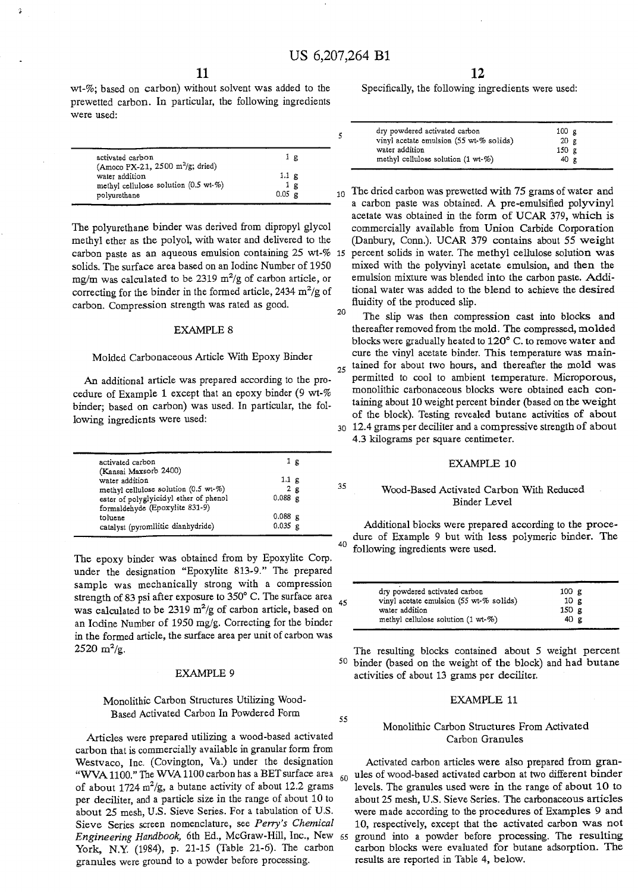$\overline{\phantom{a}}$ 

35

55

wt-%; based on carbon) without solvent was added to the prewetted carbon. In particular, the following ingredients were used:

| activated carbon<br>(Amoco PX-21, 2500 m <sup>2</sup> /g; dried) |                  | 1 g |
|------------------------------------------------------------------|------------------|-----|
| water addition                                                   | 1.1 g            |     |
| methyl cellulose solution (0.5 wt-%)                             |                  | 1 g |
| polyurethane                                                     | $0.05 \text{ g}$ |     |

The polyurethane binder was derived from dipropyl glycol methyl ether as the polyol, with water and delivered to the solids. The surface area based on an Iodine Number of 1950 mg/m was calculated to be 2319 m<sup>2</sup> /g of carbon article, or correcting for the binder in the formed article, 2434  $m^2/g$  of carbon. Compression strength was rated as good.

#### **EXAMPLE 8**

#### Molded Carbonaceous Article With Epoxy Binder

An additional article was prepared according to the procedure of Example 1 except that an epoxy binder (9 wt-% binder; based on carbon) was used. In particular, the following ingredients were used:

| activated carbon                       | Ιg             |  |
|----------------------------------------|----------------|--|
| (Kansai Maxsorb 2400)                  |                |  |
| water addition                         | $1.1~\text{g}$ |  |
| methyl cellulose solution (0.5 wt-%)   | 2g             |  |
| ester of polyglyicidyl ether of phenol | $0.088$ g      |  |
| formaldehyde (Epoxylite 831-9)         |                |  |
| toluene                                | $0.088$ g      |  |
| catalyst (pyromllitic dianhydride)     | $0.035$ g      |  |
|                                        |                |  |

The epoxy binder was obtained from by Epoxylite Corp. under the designation "Epoxylite 813-9." The prepared sample was mechanically strong with a compression strength of 83 psi after exposure to 350 $^{\circ}$  C. The surface area was calculated to be 2319  $m^2/g$  of carbon article, based on an Iodine Number of 1950 mg/g. Correcting for the binder in the formed article, the surface area per unit of carbon was  $2520 \text{ m}^2/\text{g}$ 

#### **EXAMPLE 9**

## Monolithic Carbon Structures Utilizing Wood-Based Activated Carbon In Powdered Form

Articles were prepared utilizing a wood-based activated carbon that is commercially available in granular form from Westvaco, Inc. (Covington, Va.) under the designation "WVA 1100." The WVA 1100 carbon has a BET surface area  $60$ of about 1724  $m^2/g$ , a butane activity of about 12.2 gram per deciliter, and a particle size in the range of about 10 to about 25 mesh, U.S. Sieve Series. For a tabulation of U.S. Sieve Series screen nomenclature, see *Peny's Chemical Engineering Handbook,* 6th Ed., McGraw-Hill, Inc., New <sup>65</sup> York, N.Y. (1984), p. 21-15 (Table 21-6). The carbon granules were ground to a powder before processing.

**12**

Specifically, the following ingredients were used:

| dry powdered activated carbon           | 100 g            |  |
|-----------------------------------------|------------------|--|
| vinyl acetate emulsion (55 wt-% solids) | 20 <sub>g</sub>  |  |
| water addition                          | 150 <sub>g</sub> |  |
| methyl cellulose solution $(1 wt-\%)$   | 40 g             |  |

carbon paste as an aqueous emulsion containing 25 wt-% 15 percent solids in water. The methyl cellulose solution wa  $10$  The dried carbon was prewetted with 75 grams of water and a carbon paste was obtained. A pre-emulsified polyvinyl acetate was obtained in the form of DCAR 379, which is commercially available from Union Carbide Corporation (Danbury, Conn.). UCAR 379 contains about 55 weight mixed with the polyvinyl acetate emulsion, and then the emulsion mixture was blended into the carbon paste. Additional water was added to the blend to achieve the desired fluidity of the produced slip.

20 The slip was then compression cast into blocks and thereafter removed from the mold. The compressed, molded blocks were gradually heated to  $120^{\circ}$  C. to remove water and cure the vinyl acetate binder. This temperature was main- $_{25}$  tained for about two hours, and thereafter the mold was permitted to cool to ambient temperature. Microporous, monolithic carbonaceous blocks were obtained each containing about 10 weight percent binder (based on the weight of the block). Testing revealed butane activities of about 30 12.4 grams per deciliter and a compressive strength of about 4.3 kilograms per square centimeter.

### **EXAMPLE 10**

### Wood-Based Activated Carbon With Reduced Binder Level

Additional blocks were prepared according to the procedure of Example 9 but with less polymeric binder. The following ingredients were used.

| dry powdered activated carbon                 | 100 g           |
|-----------------------------------------------|-----------------|
| vinyl acetate emulsion (55 wt-% solids)       | 10 <sub>g</sub> |
| water addition                                | 150 g           |
| methyl cellulose solution $(1 \text{ wt-}\%)$ | 40 g            |

The resulting blocks contained about 5 weight percent 50 binder (based on the weight of the block) and had butane activities of about 13 grams per deciliter.

### **EXAMPLE 11**

### Monolithic Carbon Structures From Activated Carbon Granules

Activated carbon articles were also prepared from granules of wood-based activated carbon at two different binder levels. The granules used were in the range of about 10 to about 25 mesh, U.S. Sieve Series. The carbonaceous articles were made according to the procedures of Examples 9 and 10, respectively, except that the activated carbon was not ground into a powder before processing. The resulting carbon blocks were evaluated for butane adsorption. The results are reported in Table 4, below.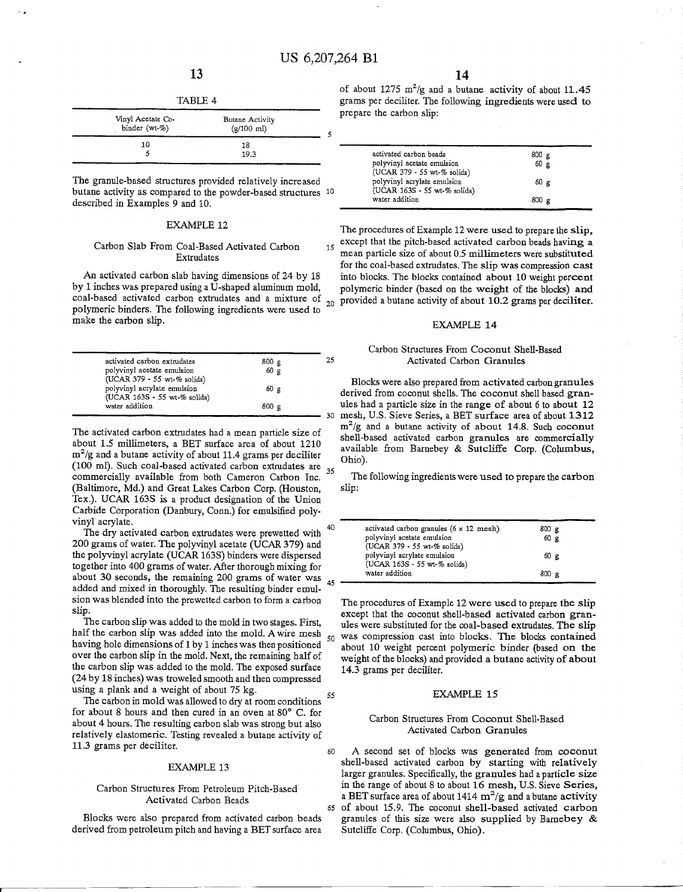15

| г |  |  |
|---|--|--|
|---|--|--|

| Vinyl Acetate Co-<br>binder (wt-%) | Butane Activity<br>$(g/100 \text{ ml})$ |  |
|------------------------------------|-----------------------------------------|--|
| 10                                 | 18                                      |  |
|                                    | 19.3                                    |  |

The granule-based structures provided relatively increased butane activity as compared to the powder-based structures 10 described in Examples 9 and 10.

### **EXAMPLE 12**

### Carbon Slab From Coal-Based Activated Carbon Extrudates

An activated carbon slab having dimensions of 24 by 18 by 1 inches was prepared using a U-shaped aluminum mold, coal-based activated carbon extrudates and a mixture of  $_{20}$  provided a butane activity of about 10.2 grams per deciliterpolymeric binders. The following ingredients were used to make the carbon slip.

| activated carbon extrudates                                 | 800 g           | 25 |
|-------------------------------------------------------------|-----------------|----|
| polyvinyl acetate emulsion<br>(UCAR 379 - 55 wt-% solids)   | 60 <sub>g</sub> |    |
| polyvinyl acrylate emulsion<br>(UCAR 163S - 55 wt-% solids) | 60 g            |    |
| water addition                                              | $800 \text{ g}$ |    |

The activated carbon extrudates had a mean particle size of about 1.5 millimeters, a BET surface area of about 1210  $m^2/g$  and a butane activity of about 11.4 grams per decilite (100 ml). Such coal-based activated carbon extrudates are  $_{35}$ commercially available from both Cameron Carbon Inc. (Baltimore, Md.) and Great Lakes Carbon Corp. (Houston, Tex.). UCAR 163S is a product designation of the Union Carbide Corporation (Danbury, Conn.) for emulsified polyvinyl acrylate.

The dry activated carbon extrudates were prewetted with 200 grams of water. The polyvinyl acetate (UCAR 379) and the polyvinyl acrylate (UCAR 163S) binders were dispersed together into 400 grams of water. After thorough mixing for about 30 seconds, the remaining 200 grams of water was 45 added and mixed in thoroughly. The resulting binder emulsion was blended into the prewetted carbon to form a carbon slip.

The carbon slip was added to the mold in two stages. First, half the carbon slip was added into the mold. A wire mesh  $_{50}$ having hole dimensions of 1 by 1 inches was then positioned over the carbon slip in the mold. Next, the remaining half of the carbon slip was added to the mold. The exposed surface (24 by 18 inches) was troweled smooth and then compressed using a plank and a weight of about 75 kg.  $\frac{55}{20}$ 

The carbon in mold was allowed to dry at room conditions for about 8 hours and then cured in an oven at  $80^{\circ}$  C. for about 4 hours. The resulting carbon slab was strong but also relatively elastomeric. Testing revealed a butane activity of 11.3 grams per deciliter.

#### **EXAMPLE 13**

### Carbon Structures From Petroleum Pitch-Based Activated Carbon Beads

Blocks were also prepared from activated carbon beads derived from petroleum pitch and having a BET surface area of about 1275  $m^2/g$  and a butane activity of about 11.4 grams per deciliter. The following ingredients were used to prepare the carbon slip:

| activated carbon beads                                      | 800 g           |   |  |
|-------------------------------------------------------------|-----------------|---|--|
| polyvinyl acetate emulsion<br>(UCAR 379 - 55 wt-% solids)   | 60 <sub>g</sub> |   |  |
| polyvinyl acrylate emulsion<br>(UCAR 163S - 55 wt-% solids) | $60 \text{ g}$  |   |  |
| water addition                                              | 800             | ₽ |  |

The procedures of Example 12 were used to prepare the slip, except that the pitch-based activated carbon beads having a mean particle size of about 0.5 millimeters were substituted for the coal-based extrudates. The slip was compression cast into blocks. The blocks contained about 10 weight percent polymeric binder (based on the weight of the blocks) and

### **EXAMPLE 14**

### Carbon Structures From Coconut Shell-Based Activated Carbon Granules

Blocks were also prepared from activated carbon granules derived from coconut shells. The coconut shell based granules had a particle size in the range of about 6 to about 12 mesh, U.S. Sieve Series, a BET surface area of about 1312  $\text{m}^2/\text{g}$  and a butane activity of about 14.8. Such cocon shell-based activated carbon granules are commercially available from Barnebey & Sutcliffe Corp. (Columbus, Ohio).

The following ingredients were used to prepare the carbon slip:

| activated carbon granules $(6 \times 12 \text{ mesh})$ | 800 g           |  |
|--------------------------------------------------------|-----------------|--|
| polyvinyl acetate emulsion                             | 60 <sub>g</sub> |  |
| (UCAR 379 - 55 wt-% solids)                            |                 |  |
| polyvinyl acrylate emulsion                            | 60 g            |  |
| (UCAR 163S - 55 wt-% solids)                           |                 |  |
| water addition                                         | 800 g           |  |
|                                                        |                 |  |

The procedures of Example 12 were used to prepare the slip except that the coconut shell-based activated carbon granules were substituted for the coal-based extrudates. The slip was compression cast into blocks. The blocks contained about 10 weight percent polymeric binder (based on the weight of the blocks) and provided a butane activity of about 14.3 grams per deciliter.

### **EXAMPLE 15**

### Carbon Structures From Coconut Shell-Based Activated Carbon Granules

60 A second set of blocks was generated from coconut shell-based activated carbon by starting with relatively larger granules. Specifically, the granules had a particle size in the range of about 8 to about 16 mesh, U.S. Sieve Series, a BET surface area of about  $1414 \text{ m}^2/\text{g}$  and a butane activity 65 of about 15.9. The coconut shell-based activated carbon

granules of this size were also supplied by Bamebey & Sutcliffe Corp. (Columbus, Ohio).